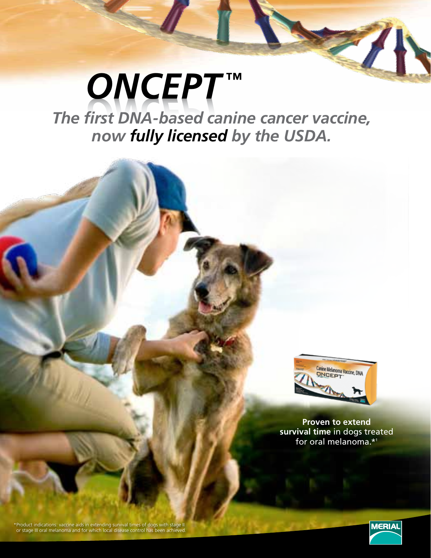# *ONCEPT ™ The first DNA-based canine cancer vaccine, now fully licensed by the USDA.*



**Proven to extend survival time** in dogs treated for oral melanoma.\*1

\*Product indications: vaccine aids in extending survival times of dogs with stage II or stage III oral melanoma and for which local disease control has been achieved.

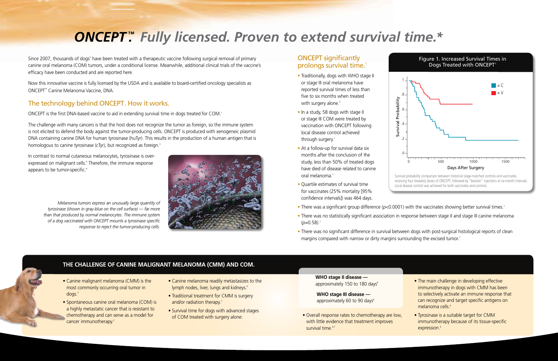Since 2007, thousands of dogs<sup>2</sup> have been treated with a therapeutic vaccine following surgical removal of primary canine oral melanoma (COM) tumors, under a conditional license. Meanwhile, additional clinical trials of the vaccine's efficacy have been conducted and are reported here.

The challenge with many cancers is that the host does not recognize the tumor as foreign, so the immune system is not elicited to defend the body against the tumor-producing cells. ONCEPT is produced with xenogeneic plasmid DNA containing canine DNA for human tyrosinase (huTyr). This results in the production of a human antigen that is homologous to canine tyrosinase (cTyr), but recognized as foreign.<sup>3</sup>

Now this innovative vaccine is fully licensed by the USDA and is available to board-certified oncology specialists as ONCEPT™ Canine Melanoma Vaccine, DNA.

## The technology behind ONCEPT. How it works.

ONCEPT is the first DNA-based vaccine to aid in extending survival time in dogs treated for COM.<sup>1</sup>

In contrast to normal cutaneous melanocytes, tyrosinase is overexpressed on malignant cells.<sup>4</sup> Therefore, the immune response appears to be tumor-specific.<sup>4</sup>

### ONCEPT significantly prolongs survival time.<sup>1</sup>

- Traditionally, dogs with WHO stage II or stage III oral melanoma have reported survival times of less than five to six months when treated with surgery alone.<sup>3</sup>
- In a study, 58 dogs with stage II or stage III COM were treated by vaccination with ONCEPT following local disease control achieved through surgery.<sup>1</sup>
- At a follow-up for survival data six months after the conclusion of the study, less than 50% of treated dogs have died of disease related to canine oral melanoma.<sup>1</sup>
- Quartile estimates of survival time for vaccinates (25% mortality [95% confidence intervals]) was 464 days.
- There was a significant group difference ( $p$ <0.0001) with the vaccinates showing better survival times.<sup>1</sup>
- There was no statistically significant association in response between stage II and stage III canine melanoma  $(p=0.58).$ <sup>1</sup>
- There was no significant difference in survival between dogs with post-surgical histological reports of clean margins compared with narrow or dirty margins surrounding the excised tumor.<sup>1</sup>

*Melanoma tumors express an unusually large quantity of tyrosinase (shown in gray-blue on the cell surface) — far more than that produced by normal melanocytes. The immune system of a dog vaccinated with ONCEPT mounts a tyrosinase specific response to reject the tumor-producing cells.* 



- The main challenge in developing effective immunotherapy in dogs with CMM has been to selectively activate an immune response that can recognize and target specific antigens on melanoma cells.<sup>6</sup>
- Tyrosinase is a suitable target for CMM immunotherapy because of its tissue-specific expression.<sup>6</sup>

 **WHO stage II disease**  approximately 150 to 180 days<sup>8</sup>

 **WHO stage III disease**  approximately 60 to 90 days<sup>8</sup>

• Overall response rates to chemotherapy are low, with little evidence that treatment improves survival time.<sup>6,7</sup>



- Spontaneous canine oral melanoma (COM) is a highly metastatic cancer that is resistant to chemotherapy and can serve as a model for cancer immunotherapy.<sup>5</sup>
- Canine melanoma readily metastasizes to the lymph nodes, liver, lungs and kidneys.<sup>6</sup>
- Traditional treatment for CMM is surgery and/or radiation therapy.<sup>7</sup>
- Survival time for dogs with advanced stages of COM treated with surgery alone:



# *ONCEPT ™ . Fully licensed. Proven to extend survival time.\**

Survival Probability

Survival Probability

1

.8

.6

.4

.2

 $\mathbf{0}$